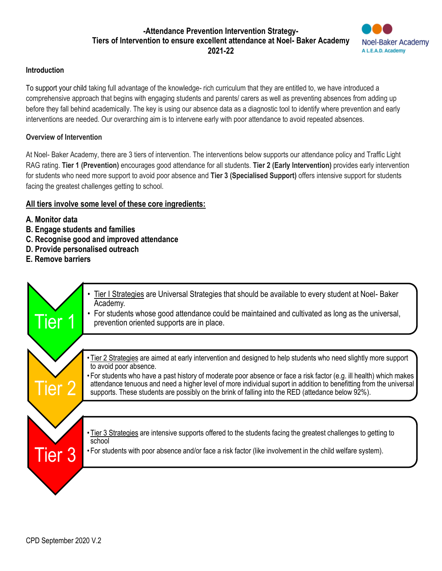## **-Attendance Prevention Intervention Strategy-Tiers of Intervention to ensure excellent attendance at Noel- Baker Academy 2021-22**



## **Introduction**

To support your child taking full advantage of the knowledge- rich curriculum that they are entitled to, we have introduced a comprehensive approach that begins with engaging students and parents/ carers as well as preventing absences from adding up before they fall behind academically. The key is using our absence data as a diagnostic tool to identify where prevention and early interventions are needed. Our overarching aim is to intervene early with poor attendance to avoid repeated absences.

## **Overview of Intervention**

At Noel- Baker Academy, there are 3 tiers of intervention. The interventions below supports our attendance policy and Traffic Light RAG rating. **Tier 1 (Prevention)** encourages good attendance for all students. **Tier 2 (Early Intervention)** provides early intervention for students who need more support to avoid poor absence and **Tier 3 (Specialised Support)** offers intensive support for students facing the greatest challenges getting to school.

## **All tiers involve some level of these core ingredients:**

- **A. Monitor data**
- **B. Engage students and families**
- **C. Recognise good and improved attendance**
- **D. Provide personalised outreach**
- **E. Remove barriers**

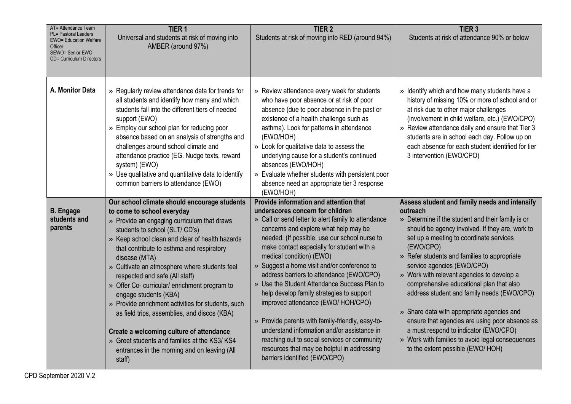| AT= Attendance Team<br>PL= Pastoral Leaders<br><b>EWO= Education Welfare</b><br>Officer<br>SEWO= Senior EWO<br>CD= Curriculum Directors | TIER <sub>1</sub><br>Universal and students at risk of moving into<br>AMBER (around 97%)                                                                                                                                                                                                                                                                                                                                                                                                                                                                                                                                                                                                             | TIER <sub>2</sub><br>Students at risk of moving into RED (around 94%)                                                                                                                                                                                                                                                                                                                                                                                                                                                                                                                                                                                                                                                                                                  | TIER <sub>3</sub><br>Students at risk of attendance 90% or below                                                                                                                                                                                                                                                                                                                                                                                                                                                                                                                                                                                                                  |
|-----------------------------------------------------------------------------------------------------------------------------------------|------------------------------------------------------------------------------------------------------------------------------------------------------------------------------------------------------------------------------------------------------------------------------------------------------------------------------------------------------------------------------------------------------------------------------------------------------------------------------------------------------------------------------------------------------------------------------------------------------------------------------------------------------------------------------------------------------|------------------------------------------------------------------------------------------------------------------------------------------------------------------------------------------------------------------------------------------------------------------------------------------------------------------------------------------------------------------------------------------------------------------------------------------------------------------------------------------------------------------------------------------------------------------------------------------------------------------------------------------------------------------------------------------------------------------------------------------------------------------------|-----------------------------------------------------------------------------------------------------------------------------------------------------------------------------------------------------------------------------------------------------------------------------------------------------------------------------------------------------------------------------------------------------------------------------------------------------------------------------------------------------------------------------------------------------------------------------------------------------------------------------------------------------------------------------------|
|                                                                                                                                         |                                                                                                                                                                                                                                                                                                                                                                                                                                                                                                                                                                                                                                                                                                      |                                                                                                                                                                                                                                                                                                                                                                                                                                                                                                                                                                                                                                                                                                                                                                        |                                                                                                                                                                                                                                                                                                                                                                                                                                                                                                                                                                                                                                                                                   |
| A. Monitor Data                                                                                                                         | » Regularly review attendance data for trends for<br>all students and identify how many and which<br>students fall into the different tiers of needed<br>support (EWO)<br>» Employ our school plan for reducing poor<br>absence based on an analysis of strengths and<br>challenges around school climate and<br>attendance practice (EG. Nudge texts, reward<br>system) (EWO)<br>» Use qualitative and quantitative data to identify<br>common barriers to attendance (EWO)                                                                                                                                                                                                                         | » Review attendance every week for students<br>who have poor absence or at risk of poor<br>absence (due to poor absence in the past or<br>existence of a health challenge such as<br>asthma). Look for patterns in attendance<br>(EWO/HOH)<br>» Look for qualitative data to assess the<br>underlying cause for a student's continued<br>absences (EWO/HOH)<br>» Evaluate whether students with persistent poor<br>absence need an appropriate tier 3 response<br>(EWO/HOH)                                                                                                                                                                                                                                                                                            | » Identify which and how many students have a<br>history of missing 10% or more of school and or<br>at risk due to other major challenges<br>(involvement in child welfare, etc.) (EWO/CPO)<br>» Review attendance daily and ensure that Tier 3<br>students are in school each day. Follow up on<br>each absence for each student identified for tier<br>3 intervention (EWO/CPO)                                                                                                                                                                                                                                                                                                 |
| <b>B.</b> Engage<br>students and<br>parents                                                                                             | Our school climate should encourage students<br>to come to school everyday<br>» Provide an engaging curriculum that draws<br>students to school (SLT/CD's)<br>» Keep school clean and clear of health hazards<br>that contribute to asthma and respiratory<br>disease (MTA)<br>» Cultivate an atmosphere where students feel<br>respected and safe (All staff)<br>» Offer Co- curricular/ enrichment program to<br>engage students (KBA)<br>» Provide enrichment activities for students, such<br>as field trips, assemblies, and discos (KBA)<br>Create a welcoming culture of attendance<br>» Greet students and families at the KS3/KS4<br>entrances in the morning and on leaving (All<br>staff) | Provide information and attention that<br>underscores concern for children<br>» Call or send letter to alert family to attendance<br>concerns and explore what help may be<br>needed. (If possible, use our school nurse to<br>make contact especially for student with a<br>medical condition) (EWO)<br>» Suggest a home visit and/or conference to<br>address barriers to attendance (EWO/CPO)<br>» Use the Student Attendance Success Plan to<br>help develop family strategies to support<br>improved attendance (EWO/ HOH/CPO)<br>» Provide parents with family-friendly, easy-to-<br>understand information and/or assistance in<br>reaching out to social services or community<br>resources that may be helpful in addressing<br>barriers identified (EWO/CPO) | Assess student and family needs and intensify<br>outreach<br>» Determine if the student and their family is or<br>should be agency involved. If they are, work to<br>set up a meeting to coordinate services<br>(EWO/CPO)<br>» Refer students and families to appropriate<br>service agencies (EWO/CPO)<br>» Work with relevant agencies to develop a<br>comprehensive educational plan that also<br>address student and family needs (EWO/CPO)<br>» Share data with appropriate agencies and<br>ensure that agencies are using poor absence as<br>a must respond to indicator (EWO/CPO)<br>» Work with families to avoid legal consequences<br>to the extent possible (EWO/ HOH) |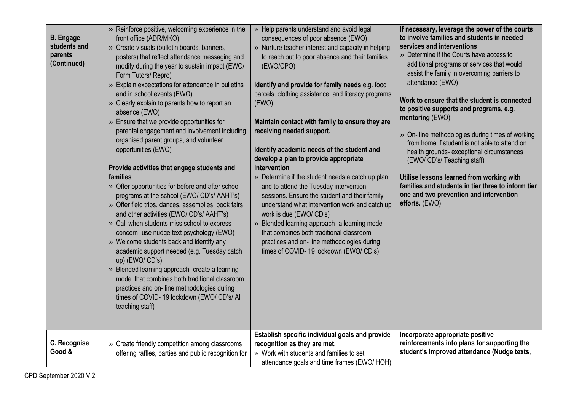| <b>B.</b> Engage<br>students and<br>parents<br>(Continued) | » Reinforce positive, welcoming experience in the<br>front office (ADR/MKO)<br>» Create visuals (bulletin boards, banners,<br>posters) that reflect attendance messaging and<br>modify during the year to sustain impact (EWO/<br>Form Tutors/ Repro)<br>» Explain expectations for attendance in bulletins<br>and in school events (EWO)<br>» Clearly explain to parents how to report an<br>absence (EWO)<br>» Ensure that we provide opportunities for<br>parental engagement and involvement including<br>organised parent groups, and volunteer<br>opportunities (EWO)<br>Provide activities that engage students and<br>families<br>» Offer opportunities for before and after school<br>programs at the school (EWO/ CD's/ AAHT's)<br>» Offer field trips, dances, assemblies, book fairs<br>and other activities (EWO/ CD's/ AAHT's)<br>» Call when students miss school to express<br>concern- use nudge text psychology (EWO)<br>» Welcome students back and identify any<br>academic support needed (e.g. Tuesday catch<br>up) (EWO/ CD's)<br>» Blended learning approach- create a learning<br>model that combines both traditional classroom<br>practices and on-line methodologies during<br>times of COVID-19 lockdown (EWO/CD's/All<br>teaching staff) | » Help parents understand and avoid legal<br>consequences of poor absence (EWO)<br>» Nurture teacher interest and capacity in helping<br>to reach out to poor absence and their families<br>(EWO/CPO)<br>Identify and provide for family needs e.g. food<br>parcels, clothing assistance, and literacy programs<br>(EWO)<br>Maintain contact with family to ensure they are<br>receiving needed support.<br>Identify academic needs of the student and<br>develop a plan to provide appropriate<br>intervention<br>» Determine if the student needs a catch up plan<br>and to attend the Tuesday intervention<br>sessions. Ensure the student and their family<br>understand what intervention work and catch up<br>work is due (EWO/ CD's)<br>» Blended learning approach- a learning model<br>that combines both traditional classroom<br>practices and on-line methodologies during<br>times of COVID-19 lockdown (EWO/CD's)<br>Establish specific individual goals and provide | If necessary, leverage the power of the courts<br>to involve families and students in needed<br>services and interventions<br>» Determine if the Courts have access to<br>additional programs or services that would<br>assist the family in overcoming barriers to<br>attendance (EWO)<br>Work to ensure that the student is connected<br>to positive supports and programs, e.g.<br>mentoring (EWO)<br>» On- line methodologies during times of working<br>from home if student is not able to attend on<br>health grounds- exceptional circumstances<br>(EWO/ CD's/ Teaching staff)<br>Utilise lessons learned from working with<br>families and students in tier three to inform tier<br>one and two prevention and intervention<br>efforts. (EWO)<br>Incorporate appropriate positive |
|------------------------------------------------------------|------------------------------------------------------------------------------------------------------------------------------------------------------------------------------------------------------------------------------------------------------------------------------------------------------------------------------------------------------------------------------------------------------------------------------------------------------------------------------------------------------------------------------------------------------------------------------------------------------------------------------------------------------------------------------------------------------------------------------------------------------------------------------------------------------------------------------------------------------------------------------------------------------------------------------------------------------------------------------------------------------------------------------------------------------------------------------------------------------------------------------------------------------------------------------------------------------------------------------------------------------------------------|------------------------------------------------------------------------------------------------------------------------------------------------------------------------------------------------------------------------------------------------------------------------------------------------------------------------------------------------------------------------------------------------------------------------------------------------------------------------------------------------------------------------------------------------------------------------------------------------------------------------------------------------------------------------------------------------------------------------------------------------------------------------------------------------------------------------------------------------------------------------------------------------------------------------------------------------------------------------------------|--------------------------------------------------------------------------------------------------------------------------------------------------------------------------------------------------------------------------------------------------------------------------------------------------------------------------------------------------------------------------------------------------------------------------------------------------------------------------------------------------------------------------------------------------------------------------------------------------------------------------------------------------------------------------------------------------------------------------------------------------------------------------------------------|
| C. Recognise<br>Good &                                     | » Create friendly competition among classrooms<br>offering raffles, parties and public recognition for                                                                                                                                                                                                                                                                                                                                                                                                                                                                                                                                                                                                                                                                                                                                                                                                                                                                                                                                                                                                                                                                                                                                                                 | recognition as they are met.<br>» Work with students and families to set<br>attendance goals and time frames (EWO/ HOH)                                                                                                                                                                                                                                                                                                                                                                                                                                                                                                                                                                                                                                                                                                                                                                                                                                                            | reinforcements into plans for supporting the<br>student's improved attendance (Nudge texts,                                                                                                                                                                                                                                                                                                                                                                                                                                                                                                                                                                                                                                                                                                |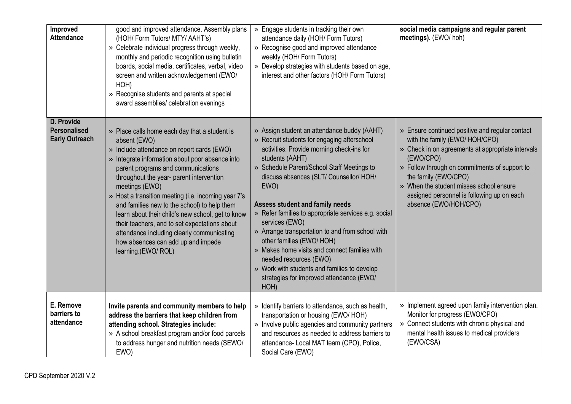| Improved<br><b>Attendance</b>                              | good and improved attendance. Assembly plans<br>(HOH/ Form Tutors/ MTY/ AAHT's)<br>» Celebrate individual progress through weekly,<br>monthly and periodic recognition using bulletin<br>boards, social media, certificates, verbal, video<br>screen and written acknowledgement (EWO/<br>HOH)<br>» Recognise students and parents at special<br>award assemblies/ celebration evenings                                                                                                                                                                                                   | » Engage students in tracking their own<br>attendance daily (HOH/ Form Tutors)<br>» Recognise good and improved attendance<br>weekly (HOH/ Form Tutors)<br>» Develop strategies with students based on age,<br>interest and other factors (HOH/ Form Tutors)                                                                                                                                                                                                                                                                                                                                                                                    | social media campaigns and regular parent<br>meetings). (EWO/hoh)                                                                                                                                                                                                                                                                              |
|------------------------------------------------------------|-------------------------------------------------------------------------------------------------------------------------------------------------------------------------------------------------------------------------------------------------------------------------------------------------------------------------------------------------------------------------------------------------------------------------------------------------------------------------------------------------------------------------------------------------------------------------------------------|-------------------------------------------------------------------------------------------------------------------------------------------------------------------------------------------------------------------------------------------------------------------------------------------------------------------------------------------------------------------------------------------------------------------------------------------------------------------------------------------------------------------------------------------------------------------------------------------------------------------------------------------------|------------------------------------------------------------------------------------------------------------------------------------------------------------------------------------------------------------------------------------------------------------------------------------------------------------------------------------------------|
| D. Provide<br><b>Personalised</b><br><b>Early Outreach</b> | » Place calls home each day that a student is<br>absent (EWO)<br>» Include attendance on report cards (EWO)<br>» Integrate information about poor absence into<br>parent programs and communications<br>throughout the year- parent intervention<br>meetings (EWO)<br>» Host a transition meeting (i.e. incoming year 7's<br>and families new to the school) to help them<br>learn about their child's new school, get to know<br>their teachers, and to set expectations about<br>attendance including clearly communicating<br>how absences can add up and impede<br>learning.(EWO/ROL) | » Assign student an attendance buddy (AAHT)<br>» Recruit students for engaging afterschool<br>activities. Provide morning check-ins for<br>students (AAHT)<br>» Schedule Parent/School Staff Meetings to<br>discuss absences (SLT/ Counsellor/ HOH/<br>EWO)<br><b>Assess student and family needs</b><br>» Refer families to appropriate services e.g. social<br>services (EWO)<br>» Arrange transportation to and from school with<br>other families (EWO/ HOH)<br>» Makes home visits and connect families with<br>needed resources (EWO)<br>» Work with students and families to develop<br>strategies for improved attendance (EWO/<br>HOH) | » Ensure continued positive and regular contact<br>with the family (EWO/ HOH/CPO)<br>» Check in on agreements at appropriate intervals<br>(EWO/CPO)<br>» Follow through on commitments of support to<br>the family (EWO/CPO)<br>» When the student misses school ensure<br>assigned personnel is following up on each<br>absence (EWO/HOH/CPO) |
| E. Remove<br>barriers to<br>attendance                     | Invite parents and community members to help<br>address the barriers that keep children from<br>attending school. Strategies include:<br>» A school breakfast program and/or food parcels<br>to address hunger and nutrition needs (SEWO/<br>EWO)                                                                                                                                                                                                                                                                                                                                         | » Identify barriers to attendance, such as health,<br>transportation or housing (EWO/ HOH)<br>» Involve public agencies and community partners<br>and resources as needed to address barriers to<br>attendance- Local MAT team (CPO), Police,<br>Social Care (EWO)                                                                                                                                                                                                                                                                                                                                                                              | » Implement agreed upon family intervention plan.<br>Monitor for progress (EWO/CPO)<br>Connect students with chronic physical and<br>$\gg$<br>mental health issues to medical providers<br>(EWO/CSA)                                                                                                                                           |